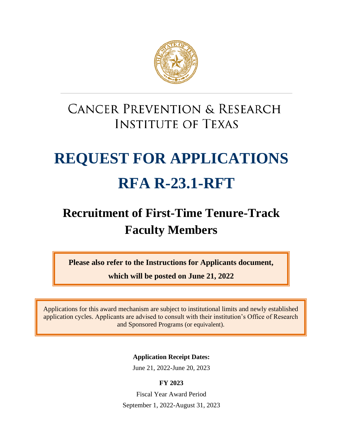

# **CANCER PREVENTION & RESEARCH INSTITUTE OF TEXAS**

# **REQUEST FOR APPLICATIONS RFA R-23.1-RFT**

# **Recruitment of First-Time Tenure-Track Faculty Members**

**Please also refer to the Instructions for Applicants document,**

**which will be posted on June 21, 2022**

Applications for this award mechanism are subject to institutional limits and newly established application cycles. Applicants are advised to consult with their institution's Office of Research and Sponsored Programs (or equivalent).

**Application Receipt Dates:**

June 21, 2022-June 20, 2023

# **FY 2023**

Fiscal Year Award Period September 1, 2022-August 31, 2023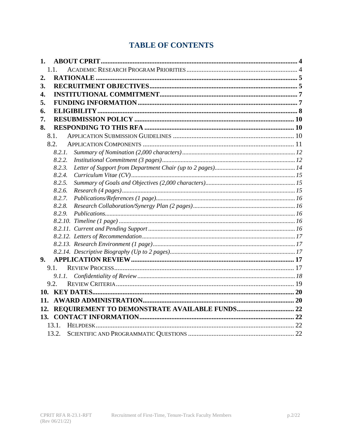# **TABLE OF CONTENTS**

| 1.     |  |
|--------|--|
| 1.1    |  |
| 2.     |  |
| 3.     |  |
| 4.     |  |
| 5.     |  |
| 6.     |  |
| 7.     |  |
| 8.     |  |
| 8.1.   |  |
| 8.2.   |  |
| 8.2.1. |  |
| 8.2.2. |  |
| 8.2.3. |  |
| 8.2.4. |  |
| 8.2.5. |  |
| 8.2.6. |  |
| 8.2.7. |  |
| 8.2.8. |  |
| 8.2.9. |  |
|        |  |
|        |  |
|        |  |
|        |  |
| 9.     |  |
| 9.1.   |  |
| 9.1.1. |  |
| 9.2.   |  |
|        |  |
| 11.    |  |
| 12.    |  |
|        |  |
| 13.1.  |  |
| 13.2.  |  |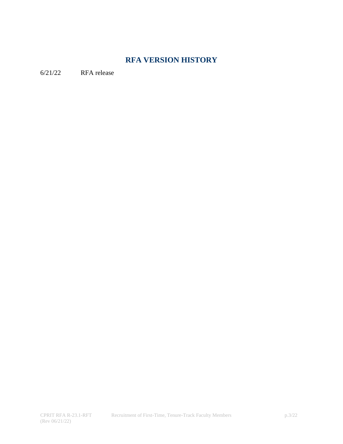# **RFA VERSION HISTORY**

6/21/22 RFA release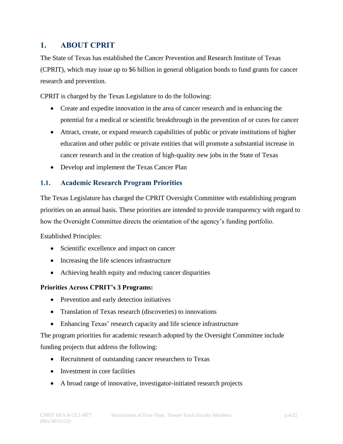# <span id="page-3-0"></span>**1. ABOUT CPRIT**

The State of Texas has established the Cancer Prevention and Research Institute of Texas (CPRIT), which may issue up to \$6 billion in general obligation bonds to fund grants for cancer research and prevention.

CPRIT is charged by the Texas Legislature to do the following:

- Create and expedite innovation in the area of cancer research and in enhancing the potential for a medical or scientific breakthrough in the prevention of or cures for cancer
- Attract, create, or expand research capabilities of public or private institutions of higher education and other public or private entities that will promote a substantial increase in cancer research and in the creation of high-quality new jobs in the State of Texas
- Develop and implement the Texas Cancer Plan

#### <span id="page-3-1"></span>**1.1. Academic Research Program Priorities**

The Texas Legislature has charged the CPRIT Oversight Committee with establishing program priorities on an annual basis. These priorities are intended to provide transparency with regard to how the Oversight Committee directs the orientation of the agency's funding portfolio.

Established Principles:

- Scientific excellence and impact on cancer
- Increasing the life sciences infrastructure
- Achieving health equity and reducing cancer disparities

#### **Priorities Across CPRIT's 3 Programs:**

- Prevention and early detection initiatives
- Translation of Texas research (discoveries) to innovations
- Enhancing Texas' research capacity and life science infrastructure

The program priorities for academic research adopted by the Oversight Committee include funding projects that address the following:

- Recruitment of outstanding cancer researchers to Texas
- Investment in core facilities
- A broad range of innovative, investigator-initiated research projects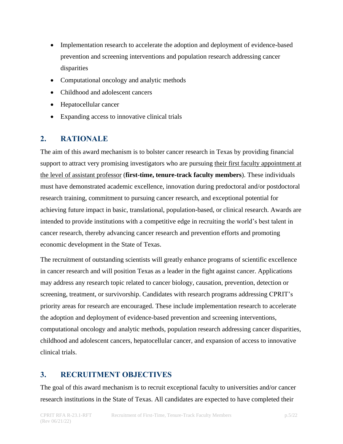- Implementation research to accelerate the adoption and deployment of evidence-based prevention and screening interventions and population research addressing cancer disparities
- Computational oncology and analytic methods
- Childhood and adolescent cancers
- Hepatocellular cancer
- Expanding access to innovative clinical trials

# <span id="page-4-0"></span>**2. RATIONALE**

The aim of this award mechanism is to bolster cancer research in Texas by providing financial support to attract very promising investigators who are pursuing their first faculty appointment at the level of assistant professor (**first-time, tenure-track faculty members**). These individuals must have demonstrated academic excellence, innovation during predoctoral and/or postdoctoral research training, commitment to pursuing cancer research, and exceptional potential for achieving future impact in basic, translational, population-based, or clinical research. Awards are intended to provide institutions with a competitive edge in recruiting the world's best talent in cancer research, thereby advancing cancer research and prevention efforts and promoting economic development in the State of Texas.

The recruitment of outstanding scientists will greatly enhance programs of scientific excellence in cancer research and will position Texas as a leader in the fight against cancer. Applications may address any research topic related to cancer biology, causation, prevention, detection or screening, treatment, or survivorship. Candidates with research programs addressing CPRIT's priority areas for research are encouraged. These include implementation research to accelerate the adoption and deployment of evidence-based prevention and screening interventions, computational oncology and analytic methods, population research addressing cancer disparities, childhood and adolescent cancers, hepatocellular cancer, and expansion of access to innovative clinical trials.

# <span id="page-4-1"></span>**3. RECRUITMENT OBJECTIVES**

The goal of this award mechanism is to recruit exceptional faculty to universities and/or cancer research institutions in the State of Texas. All candidates are expected to have completed their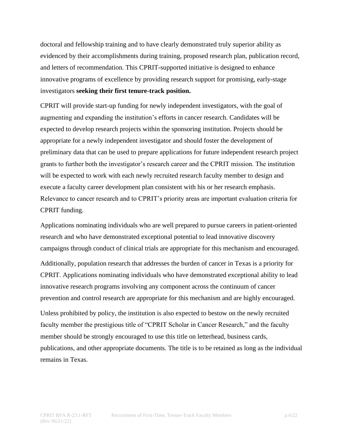doctoral and fellowship training and to have clearly demonstrated truly superior ability as evidenced by their accomplishments during training, proposed research plan, publication record, and letters of recommendation. This CPRIT-supported initiative is designed to enhance innovative programs of excellence by providing research support for promising, early-stage investigators **seeking their first tenure-track position.**

CPRIT will provide start-up funding for newly independent investigators, with the goal of augmenting and expanding the institution's efforts in cancer research. Candidates will be expected to develop research projects within the sponsoring institution. Projects should be appropriate for a newly independent investigator and should foster the development of preliminary data that can be used to prepare applications for future independent research project grants to further both the investigator's research career and the CPRIT mission. The institution will be expected to work with each newly recruited research faculty member to design and execute a faculty career development plan consistent with his or her research emphasis. Relevance to cancer research and to CPRIT's priority areas are important evaluation criteria for CPRIT funding.

Applications nominating individuals who are well prepared to pursue careers in patient-oriented research and who have demonstrated exceptional potential to lead innovative discovery campaigns through conduct of clinical trials are appropriate for this mechanism and encouraged.

Additionally, population research that addresses the burden of cancer in Texas is a priority for CPRIT. Applications nominating individuals who have demonstrated exceptional ability to lead innovative research programs involving any component across the continuum of cancer prevention and control research are appropriate for this mechanism and are highly encouraged.

Unless prohibited by policy, the institution is also expected to bestow on the newly recruited faculty member the prestigious title of "CPRIT Scholar in Cancer Research," and the faculty member should be strongly encouraged to use this title on letterhead, business cards, publications, and other appropriate documents. The title is to be retained as long as the individual remains in Texas.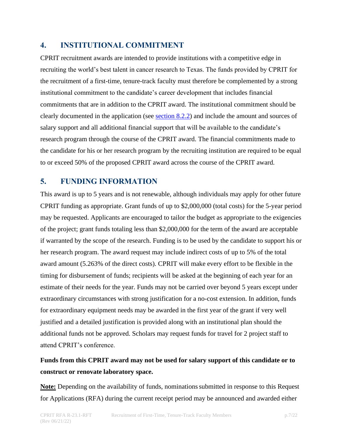# <span id="page-6-0"></span>**4. INSTITUTIONAL COMMITMENT**

CPRIT recruitment awards are intended to provide institutions with a competitive edge in recruiting the world's best talent in cancer research to Texas. The funds provided by CPRIT for the recruitment of a first-time, tenure-track faculty must therefore be complemented by a strong institutional commitment to the candidate's career development that includes financial commitments that are in addition to the CPRIT award. The institutional commitment should be clearly documented in the application (see [section 8.2.2\)](#page-11-1) and include the amount and sources of salary support and all additional financial support that will be available to the candidate's research program through the course of the CPRIT award. The financial commitments made to the candidate for his or her research program by the recruiting institution are required to be equal to or exceed 50% of the proposed CPRIT award across the course of the CPRIT award.

# <span id="page-6-1"></span>**5. FUNDING INFORMATION**

This award is up to 5 years and is not renewable, although individuals may apply for other future CPRIT funding as appropriate. Grant funds of up to \$2,000,000 (total costs) for the 5-year period may be requested. Applicants are encouraged to tailor the budget as appropriate to the exigencies of the project; grant funds totaling less than \$2,000,000 for the term of the award are acceptable if warranted by the scope of the research. Funding is to be used by the candidate to support his or her research program. The award request may include indirect costs of up to 5% of the total award amount (5.263% of the direct costs). CPRIT will make every effort to be flexible in the timing for disbursement of funds; recipients will be asked at the beginning of each year for an estimate of their needs for the year. Funds may not be carried over beyond 5 years except under extraordinary circumstances with strong justification for a no-cost extension. In addition, funds for extraordinary equipment needs may be awarded in the first year of the grant if very well justified and a detailed justification is provided along with an institutional plan should the additional funds not be approved. Scholars may request funds for travel for 2 project staff to attend CPRIT's conference.

# **Funds from this CPRIT award may not be used for salary support of this candidate or to construct or renovate laboratory space.**

**Note:** Depending on the availability of funds, nominations submitted in response to this Request for Applications (RFA) during the current receipt period may be announced and awarded either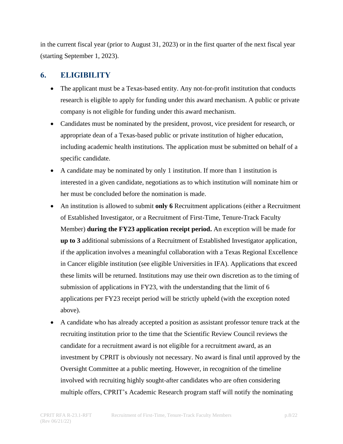in the current fiscal year (prior to August 31, 2023) or in the first quarter of the next fiscal year (starting September 1, 2023).

# <span id="page-7-0"></span>**6. ELIGIBILITY**

- The applicant must be a Texas-based entity. Any not-for-profit institution that conducts research is eligible to apply for funding under this award mechanism. A public or private company is not eligible for funding under this award mechanism.
- Candidates must be nominated by the president, provost, vice president for research, or appropriate dean of a Texas-based public or private institution of higher education, including academic health institutions. The application must be submitted on behalf of a specific candidate.
- A candidate may be nominated by only 1 institution. If more than 1 institution is interested in a given candidate, negotiations as to which institution will nominate him or her must be concluded before the nomination is made.
- An institution is allowed to submit **only 6** Recruitment applications (either a Recruitment of Established Investigator, or a Recruitment of First-Time, Tenure-Track Faculty Member) **during the FY23 application receipt period.** An exception will be made for **up to 3** additional submissions of a Recruitment of Established Investigator application, if the application involves a meaningful collaboration with a Texas Regional Excellence in Cancer eligible institution (see eligible Universities in IFA). Applications that exceed these limits will be returned. Institutions may use their own discretion as to the timing of submission of applications in FY23, with the understanding that the limit of 6 applications per FY23 receipt period will be strictly upheld (with the exception noted above).
- A candidate who has already accepted a position as assistant professor tenure track at the recruiting institution prior to the time that the Scientific Review Council reviews the candidate for a recruitment award is not eligible for a recruitment award, as an investment by CPRIT is obviously not necessary. No award is final until approved by the Oversight Committee at a public meeting. However, in recognition of the timeline involved with recruiting highly sought-after candidates who are often considering multiple offers, CPRIT's Academic Research program staff will notify the nominating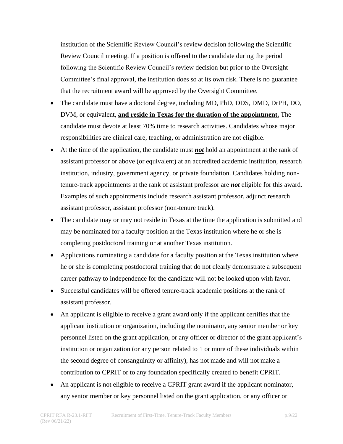institution of the Scientific Review Council's review decision following the Scientific Review Council meeting. If a position is offered to the candidate during the period following the Scientific Review Council's review decision but prior to the Oversight Committee's final approval, the institution does so at its own risk. There is no guarantee that the recruitment award will be approved by the Oversight Committee.

- The candidate must have a doctoral degree, including MD, PhD, DDS, DMD, DrPH, DO, DVM, or equivalent, **and reside in Texas for the duration of the appointment.** The candidate must devote at least 70% time to research activities. Candidates whose major responsibilities are clinical care, teaching, or administration are not eligible.
- At the time of the application, the candidate must *not* hold an appointment at the rank of assistant professor or above (or equivalent) at an accredited academic institution, research institution, industry, government agency, or private foundation. Candidates holding nontenure-track appointments at the rank of assistant professor are *not* eligible for this award. Examples of such appointments include research assistant professor, adjunct research assistant professor, assistant professor (non-tenure track).
- The candidate may or may not reside in Texas at the time the application is submitted and may be nominated for a faculty position at the Texas institution where he or she is completing postdoctoral training or at another Texas institution.
- Applications nominating a candidate for a faculty position at the Texas institution where he or she is completing postdoctoral training that do not clearly demonstrate a subsequent career pathway to independence for the candidate will not be looked upon with favor.
- Successful candidates will be offered tenure-track academic positions at the rank of assistant professor.
- An applicant is eligible to receive a grant award only if the applicant certifies that the applicant institution or organization, including the nominator, any senior member or key personnel listed on the grant application, or any officer or director of the grant applicant's institution or organization (or any person related to 1 or more of these individuals within the second degree of consanguinity or affinity), has not made and will not make a contribution to CPRIT or to any foundation specifically created to benefit CPRIT.
- An applicant is not eligible to receive a CPRIT grant award if the applicant nominator, any senior member or key personnel listed on the grant application, or any officer or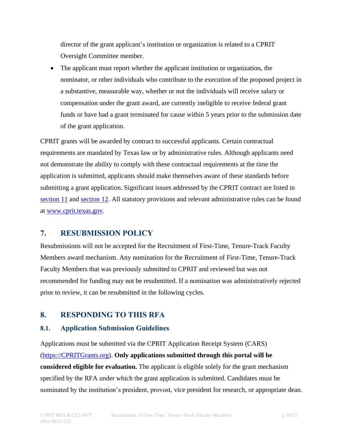director of the grant applicant's institution or organization is related to a CPRIT Oversight Committee member.

• The applicant must report whether the applicant institution or organization, the nominator, or other individuals who contribute to the execution of the proposed project in a substantive, measurable way, whether or not the individuals will receive salary or compensation under the grant award, are currently ineligible to receive federal grant funds or have had a grant terminated for cause within 5 years prior to the submission date of the grant application.

CPRIT grants will be awarded by contract to successful applicants. Certain contractual requirements are mandated by Texas law or by administrative rules. Although applicants need not demonstrate the ability to comply with these contractual requirements at the time the application is submitted, applicants should make themselves aware of these standards before submitting a grant application. Significant issues addressed by the CPRIT contract are listed in [section 11](#page-19-1) and [section 12.](#page-21-0) All statutory provisions and relevant administrative rules can be found at [www.cprit.texas.gov.](http://www.cprit.texas.gov/)

# <span id="page-9-0"></span>**7. RESUBMISSION POLICY**

Resubmissions will not be accepted for the Recruitment of First-Time, Tenure-Track Faculty Members award mechanism. Any nomination for the Recruitment of First-Time, Tenure-Track Faculty Members that was previously submitted to CPRIT and reviewed but was not recommended for funding may not be resubmitted. If a nomination was administratively rejected prior to review, it can be resubmitted in the following cycles.

# <span id="page-9-1"></span>**8. RESPONDING TO THIS RFA**

# <span id="page-9-2"></span>**8.1. Application Submission Guidelines**

Applications must be submitted via the CPRIT Application Receipt System (CARS) [\(https://CPRITGrants.org\)](https://cpritgrants.org/). **Only applications submitted through this portal will be considered eligible for evaluation.** The applicant is eligible solely for the grant mechanism specified by the RFA under which the grant application is submitted. Candidates must be nominated by the institution's president, provost, vice president for research, or appropriate dean.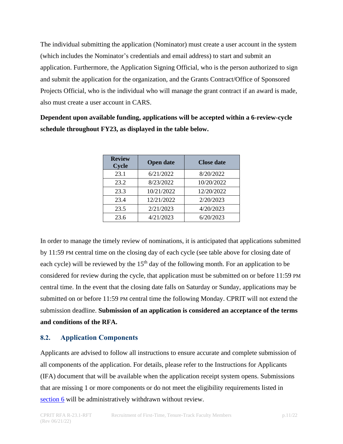The individual submitting the application (Nominator) must create a user account in the system (which includes the Nominator's credentials and email address) to start and submit an application. Furthermore, the Application Signing Official, who is the person authorized to sign and submit the application for the organization, and the Grants Contract/Office of Sponsored Projects Official, who is the individual who will manage the grant contract if an award is made, also must create a user account in CARS.

**Dependent upon available funding, applications will be accepted within a 6-review-cycle schedule throughout FY23, as displayed in the table below.**

| <b>Review</b><br><b>Cycle</b> | <b>Open date</b> | <b>Close date</b> |
|-------------------------------|------------------|-------------------|
| 23.1                          | 6/21/2022        | 8/20/2022         |
| 23.2                          | 8/23/2022        | 10/20/2022        |
| 23.3                          | 10/21/2022       | 12/20/2022        |
| 23.4                          | 12/21/2022       | 2/20/2023         |
| 23.5                          | 2/21/2023        | 4/20/2023         |
| 23.6                          | 4/21/2023        | 6/20/2023         |

In order to manage the timely review of nominations, it is anticipated that applications submitted by 11:59 PM central time on the closing day of each cycle (see table above for closing date of each cycle) will be reviewed by the  $15<sup>th</sup>$  day of the following month. For an application to be considered for review during the cycle, that application must be submitted on or before 11:59 PM central time. In the event that the closing date falls on Saturday or Sunday, applications may be submitted on or before 11:59 PM central time the following Monday. CPRIT will not extend the submission deadline. **Submission of an application is considered an acceptance of the terms and conditions of the RFA.**

#### <span id="page-10-0"></span>**8.2. Application Components**

Applicants are advised to follow all instructions to ensure accurate and complete submission of all components of the application. For details, please refer to the Instructions for Applicants (IFA) document that will be available when the application receipt system opens. Submissions that are missing 1 or more components or do not meet the eligibility requirements listed in [section 6](#page-7-0) will be administratively withdrawn without review.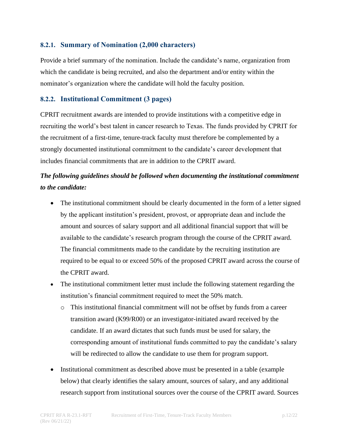#### <span id="page-11-0"></span>**8.2.1. Summary of Nomination (2,000 characters)**

Provide a brief summary of the nomination. Include the candidate's name, organization from which the candidate is being recruited, and also the department and/or entity within the nominator's organization where the candidate will hold the faculty position.

#### <span id="page-11-1"></span>**8.2.2. Institutional Commitment (3 pages)**

CPRIT recruitment awards are intended to provide institutions with a competitive edge in recruiting the world's best talent in cancer research to Texas. The funds provided by CPRIT for the recruitment of a first-time, tenure-track faculty must therefore be complemented by a strongly documented institutional commitment to the candidate's career development that includes financial commitments that are in addition to the CPRIT award.

# *The following guidelines should be followed when documenting the institutional commitment to the candidate:*

- The institutional commitment should be clearly documented in the form of a letter signed by the applicant institution's president, provost, or appropriate dean and include the amount and sources of salary support and all additional financial support that will be available to the candidate's research program through the course of the CPRIT award. The financial commitments made to the candidate by the recruiting institution are required to be equal to or exceed 50% of the proposed CPRIT award across the course of the CPRIT award.
- The institutional commitment letter must include the following statement regarding the institution's financial commitment required to meet the 50% match.
	- o This institutional financial commitment will not be offset by funds from a career transition award (K99/R00) or an investigator-initiated award received by the candidate. If an award dictates that such funds must be used for salary, the corresponding amount of institutional funds committed to pay the candidate's salary will be redirected to allow the candidate to use them for program support.
- Institutional commitment as described above must be presented in a table (example below) that clearly identifies the salary amount, sources of salary, and any additional research support from institutional sources over the course of the CPRIT award. Sources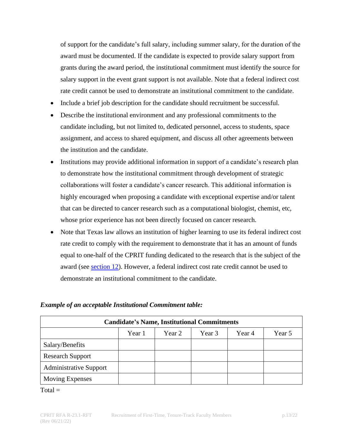of support for the candidate's full salary, including summer salary, for the duration of the award must be documented. If the candidate is expected to provide salary support from grants during the award period, the institutional commitment must identify the source for salary support in the event grant support is not available. Note that a federal indirect cost rate credit cannot be used to demonstrate an institutional commitment to the candidate.

- Include a brief job description for the candidate should recruitment be successful.
- Describe the institutional environment and any professional commitments to the candidate including, but not limited to, dedicated personnel, access to students, space assignment, and access to shared equipment, and discuss all other agreements between the institution and the candidate.
- Institutions may provide additional information in support of a candidate's research plan to demonstrate how the institutional commitment through development of strategic collaborations will foster a candidate's cancer research. This additional information is highly encouraged when proposing a candidate with exceptional expertise and/or talent that can be directed to cancer research such as a computational biologist, chemist, etc, whose prior experience has not been directly focused on cancer research.
- Note that Texas law allows an institution of higher learning to use its federal indirect cost rate credit to comply with the requirement to demonstrate that it has an amount of funds equal to one-half of the CPRIT funding dedicated to the research that is the subject of the award (see [section 12\)](#page-21-0). However, a federal indirect cost rate credit cannot be used to demonstrate an institutional commitment to the candidate.

| <b>Candidate's Name, Institutional Commitments</b> |        |        |        |        |        |
|----------------------------------------------------|--------|--------|--------|--------|--------|
|                                                    | Year 1 | Year 2 | Year 3 | Year 4 | Year 5 |
| Salary/Benefits                                    |        |        |        |        |        |
| <b>Research Support</b>                            |        |        |        |        |        |
| <b>Administrative Support</b>                      |        |        |        |        |        |
| <b>Moving Expenses</b>                             |        |        |        |        |        |

#### *Example of an acceptable Institutional Commitment table:*

 $Total =$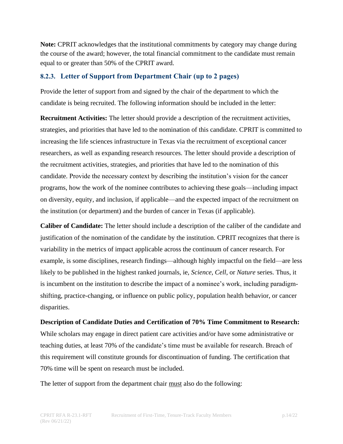**Note:** CPRIT acknowledges that the institutional commitments by category may change during the course of the award; however, the total financial commitment to the candidate must remain equal to or greater than 50% of the CPRIT award.

#### <span id="page-13-0"></span>**8.2.3. Letter of Support from Department Chair (up to 2 pages)**

Provide the letter of support from and signed by the chair of the department to which the candidate is being recruited. The following information should be included in the letter:

**Recruitment Activities:** The letter should provide a description of the recruitment activities, strategies, and priorities that have led to the nomination of this candidate. CPRIT is committed to increasing the life sciences infrastructure in Texas via the recruitment of exceptional cancer researchers, as well as expanding research resources. The letter should provide a description of the recruitment activities, strategies, and priorities that have led to the nomination of this candidate. Provide the necessary context by describing the institution's vision for the cancer programs, how the work of the nominee contributes to achieving these goals—including impact on diversity, equity, and inclusion, if applicable—and the expected impact of the recruitment on the institution (or department) and the burden of cancer in Texas (if applicable).

**Caliber of Candidate:** The letter should include a description of the caliber of the candidate and justification of the nomination of the candidate by the institution. CPRIT recognizes that there is variability in the metrics of impact applicable across the continuum of cancer research. For example, is some disciplines, research findings—although highly impactful on the field—are less likely to be published in the highest ranked journals, ie, *Science*, *Cell*, or *Nature* series. Thus, it is incumbent on the institution to describe the impact of a nominee's work, including paradigmshifting, practice-changing, or influence on public policy, population health behavior, or cancer disparities.

**Description of Candidate Duties and Certification of 70% Time Commitment to Research:** While scholars may engage in direct patient care activities and/or have some administrative or teaching duties, at least 70% of the candidate's time must be available for research. Breach of this requirement will constitute grounds for discontinuation of funding. The certification that 70% time will be spent on research must be included.

The letter of support from the department chair must also do the following: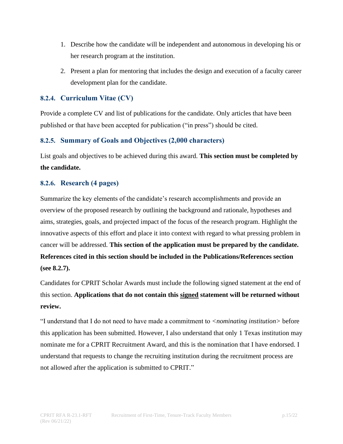- 1. Describe how the candidate will be independent and autonomous in developing his or her research program at the institution.
- 2. Present a plan for mentoring that includes the design and execution of a faculty career development plan for the candidate.

# <span id="page-14-0"></span>**8.2.4. Curriculum Vitae (CV)**

Provide a complete CV and list of publications for the candidate. Only articles that have been published or that have been accepted for publication ("in press") should be cited.

# <span id="page-14-1"></span>**8.2.5. Summary of Goals and Objectives (2,000 characters)**

List goals and objectives to be achieved during this award. **This section must be completed by the candidate.**

#### <span id="page-14-2"></span>**8.2.6. Research (4 pages)**

Summarize the key elements of the candidate's research accomplishments and provide an overview of the proposed research by outlining the background and rationale, hypotheses and aims, strategies, goals, and projected impact of the focus of the research program. Highlight the innovative aspects of this effort and place it into context with regard to what pressing problem in cancer will be addressed. **This section of the application must be prepared by the candidate. References cited in this section should be included in the Publications/References section (see 8.2.7).**

Candidates for CPRIT Scholar Awards must include the following signed statement at the end of this section. **Applications that do not contain this signed statement will be returned without review.**

"I understand that I do not need to have made a commitment to *<nominating institution>* before this application has been submitted. However, I also understand that only 1 Texas institution may nominate me for a CPRIT Recruitment Award, and this is the nomination that I have endorsed. I understand that requests to change the recruiting institution during the recruitment process are not allowed after the application is submitted to CPRIT."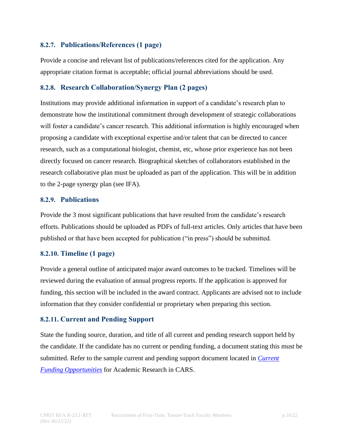#### <span id="page-15-0"></span>**8.2.7. Publications/References (1 page)**

Provide a concise and relevant list of publications/references cited for the application. Any appropriate citation format is acceptable; official journal abbreviations should be used.

#### <span id="page-15-1"></span>**8.2.8. Research Collaboration/Synergy Plan (2 pages)**

Institutions may provide additional information in support of a candidate's research plan to demonstrate how the institutional commitment through development of strategic collaborations will foster a candidate's cancer research. This additional information is highly encouraged when proposing a candidate with exceptional expertise and/or talent that can be directed to cancer research, such as a computational biologist, chemist, etc, whose prior experience has not been directly focused on cancer research. Biographical sketches of collaborators established in the research collaborative plan must be uploaded as part of the application. This will be in addition to the 2-page synergy plan (see IFA).

#### <span id="page-15-2"></span>**8.2.9. Publications**

Provide the 3 most significant publications that have resulted from the candidate's research efforts. Publications should be uploaded as PDFs of full-text articles. Only articles that have been published or that have been accepted for publication ("in press") should be submitted.

#### <span id="page-15-3"></span>**8.2.10. Timeline (1 page)**

Provide a general outline of anticipated major award outcomes to be tracked. Timelines will be reviewed during the evaluation of annual progress reports. If the application is approved for funding, this section will be included in the award contract. Applicants are advised not to include information that they consider confidential or proprietary when preparing this section.

#### <span id="page-15-4"></span>**8.2.11. Current and Pending Support**

State the funding source, duration, and title of all current and pending research support held by the candidate. If the candidate has no current or pending funding, a document stating this must be submitted. Refer to the sample current and pending support document located in *[Current](https://cpritgrants.org/Current_Funding_Opportunities/index.cfm?prg=CPRITR&prg_fy=2023)  [Funding Opportunities](https://cpritgrants.org/Current_Funding_Opportunities/index.cfm?prg=CPRITR&prg_fy=2023)* for Academic Research in CARS.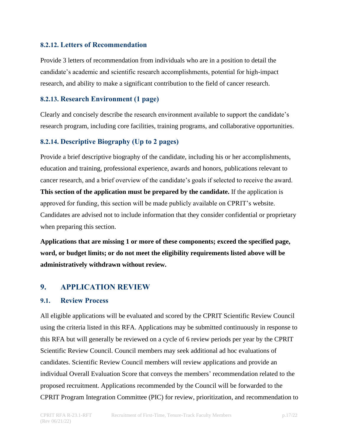#### <span id="page-16-0"></span>**8.2.12. Letters of Recommendation**

Provide 3 letters of recommendation from individuals who are in a position to detail the candidate's academic and scientific research accomplishments, potential for high-impact research, and ability to make a significant contribution to the field of cancer research.

#### <span id="page-16-1"></span>**8.2.13. Research Environment (1 page)**

Clearly and concisely describe the research environment available to support the candidate's research program, including core facilities, training programs, and collaborative opportunities.

#### <span id="page-16-2"></span>**8.2.14. Descriptive Biography (Up to 2 pages)**

Provide a brief descriptive biography of the candidate, including his or her accomplishments, education and training, professional experience, awards and honors, publications relevant to cancer research, and a brief overview of the candidate's goals if selected to receive the award. **This section of the application must be prepared by the candidate.** If the application is approved for funding, this section will be made publicly available on CPRIT's website. Candidates are advised not to include information that they consider confidential or proprietary when preparing this section.

**Applications that are missing 1 or more of these components; exceed the specified page, word, or budget limits; or do not meet the eligibility requirements listed above will be administratively withdrawn without review.**

# <span id="page-16-3"></span>**9. APPLICATION REVIEW**

#### <span id="page-16-4"></span>**9.1. Review Process**

All eligible applications will be evaluated and scored by the CPRIT Scientific Review Council using the criteria listed in this RFA. Applications may be submitted continuously in response to this RFA but will generally be reviewed on a cycle of 6 review periods per year by the CPRIT Scientific Review Council. Council members may seek additional ad hoc evaluations of candidates. Scientific Review Council members will review applications and provide an individual Overall Evaluation Score that conveys the members' recommendation related to the proposed recruitment. Applications recommended by the Council will be forwarded to the CPRIT Program Integration Committee (PIC) for review, prioritization, and recommendation to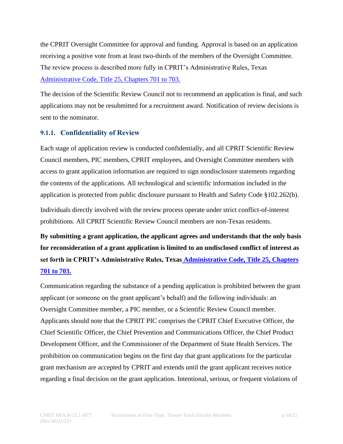the CPRIT Oversight Committee for approval and funding. Approval is based on an application receiving a positive vote from at least two-thirds of the members of the Oversight Committee. The review process is described more fully in CPRIT's Administrative Rules, [Texas](https://texreg.sos.state.tx.us/public/readtac$ext.ViewTAC?tac_view=4&ti=25&pt=11&ch=703&rl=Y) [Administrative Code, Title 25, Chapters 701](https://texreg.sos.state.tx.us/public/readtac$ext.ViewTAC?tac_view=4&ti=25&pt=11&ch=703&rl=Y) to 703.

The decision of the Scientific Review Council not to recommend an application is final, and such applications may not be resubmitted for a recruitment award. Notification of review decisions is sent to the nominator.

# <span id="page-17-0"></span>**9.1.1. Confidentiality of Review**

Each stage of application review is conducted confidentially, and all CPRIT Scientific Review Council members, PIC members, CPRIT employees, and Oversight Committee members with access to grant application information are required to sign nondisclosure statements regarding the contents of the applications. All technological and scientific information included in the application is protected from public disclosure pursuant to Health and Safety Code §102.262(b).

Individuals directly involved with the review process operate under strict conflict-of-interest prohibitions. All CPRIT Scientific Review Council members are non-Texas residents.

**By submitting a grant application, the applicant agrees and understands that the only basis for reconsideration of a grant application is limited to an undisclosed conflict of interest as set forth in CPRIT's Administrative Rules, Texas [Administrative Code, Title 25, Chapters](https://texreg.sos.state.tx.us/public/readtac$ext.ViewTAC?tac_view=4&ti=25&pt=11&ch=703&rl=Y)  701 [to 703.](https://texreg.sos.state.tx.us/public/readtac$ext.ViewTAC?tac_view=4&ti=25&pt=11&ch=703&rl=Y)**

Communication regarding the substance of a pending application is prohibited between the grant applicant (or someone on the grant applicant's behalf) and the following individuals: an Oversight Committee member, a PIC member, or a Scientific Review Council member. Applicants should note that the CPRIT PIC comprises the CPRIT Chief Executive Officer, the Chief Scientific Officer, the Chief Prevention and Communications Officer, the Chief Product Development Officer, and the Commissioner of the Department of State Health Services. The prohibition on communication begins on the first day that grant applications for the particular grant mechanism are accepted by CPRIT and extends until the grant applicant receives notice regarding a final decision on the grant application. Intentional, serious, or frequent violations of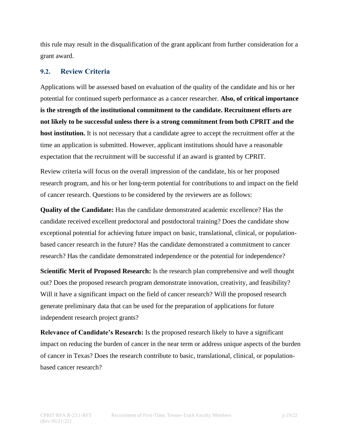this rule may result in the disqualification of the grant applicant from further consideration for a grant award.

#### <span id="page-18-0"></span>**9.2. Review Criteria**

Applications will be assessed based on evaluation of the quality of the candidate and his or her potential for continued superb performance as a cancer researcher. **Also, of critical importance is the strength of the institutional commitment to the candidate. Recruitment efforts are not likely to be successful unless there is a strong commitment from both CPRIT and the host institution.** It is not necessary that a candidate agree to accept the recruitment offer at the time an application is submitted. However, applicant institutions should have a reasonable expectation that the recruitment will be successful if an award is granted by CPRIT.

Review criteria will focus on the overall impression of the candidate, his or her proposed research program, and his or her long-term potential for contributions to and impact on the field of cancer research. Questions to be considered by the reviewers are as follows:

**Quality of the Candidate:** Has the candidate demonstrated academic excellence? Has the candidate received excellent predoctoral and postdoctoral training? Does the candidate show exceptional potential for achieving future impact on basic, translational, clinical, or populationbased cancer research in the future? Has the candidate demonstrated a commitment to cancer research? Has the candidate demonstrated independence or the potential for independence?

**Scientific Merit of Proposed Research:** Is the research plan comprehensive and well thought out? Does the proposed research program demonstrate innovation, creativity, and feasibility? Will it have a significant impact on the field of cancer research? Will the proposed research generate preliminary data that can be used for the preparation of applications for future independent research project grants?

**Relevance of Candidate's Research:** Is the proposed research likely to have a significant impact on reducing the burden of cancer in the near term or address unique aspects of the burden of cancer in Texas? Does the research contribute to basic, translational, clinical, or populationbased cancer research?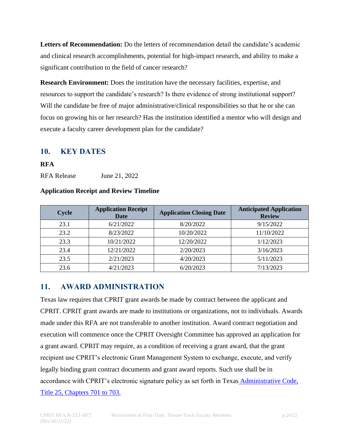**Letters of Recommendation:** Do the letters of recommendation detail the candidate's academic and clinical research accomplishments, potential for high-impact research, and ability to make a significant contribution to the field of cancer research?

**Research Environment:** Does the institution have the necessary facilities, expertise, and resources to support the candidate's research? Is there evidence of strong institutional support? Will the candidate be free of major administrative/clinical responsibilities so that he or she can focus on growing his or her research? Has the institution identified a mentor who will design and execute a faculty career development plan for the candidate?

# <span id="page-19-0"></span>**10. KEY DATES**

#### **RFA**

RFA Release June 21, 2022

#### **Application Receipt and Review Timeline**

| <b>Cycle</b> | <b>Application Receipt</b><br><b>Date</b> | <b>Application Closing Date</b> | <b>Anticipated Application</b><br><b>Review</b> |
|--------------|-------------------------------------------|---------------------------------|-------------------------------------------------|
| 23.1         | 6/21/2022                                 | 8/20/2022                       | 9/15/2022                                       |
| 23.2         | 8/23/2022                                 | 10/20/2022                      | 11/10/2022                                      |
| 23.3         | 10/21/2022                                | 12/20/2022                      | 1/12/2023                                       |
| 23.4         | 12/21/2022                                | 2/20/2023                       | 3/16/2023                                       |
| 23.5         | 2/21/2023                                 | 4/20/2023                       | 5/11/2023                                       |
| 23.6         | 4/21/2023                                 | 6/20/2023                       | 7/13/2023                                       |

# <span id="page-19-1"></span>**11. AWARD ADMINISTRATION**

Texas law requires that CPRIT grant awards be made by contract between the applicant and CPRIT. CPRIT grant awards are made to institutions or organizations, not to individuals. Awards made under this RFA are not transferable to another institution. Award contract negotiation and execution will commence once the CPRIT Oversight Committee has approved an application for a grant award. CPRIT may require, as a condition of receiving a grant award, that the grant recipient use CPRIT's electronic Grant Management System to exchange, execute, and verify legally binding grant contract documents and grant award reports. Such use shall be in accordance with CPRIT's electronic signature policy as set forth in Texas [Administrative Code,](https://texreg.sos.state.tx.us/public/readtac$ext.ViewTAC?tac_view=4&ti=25&pt=11&ch=703&rl=Y)  [Title 25, Chapters 701](https://texreg.sos.state.tx.us/public/readtac$ext.ViewTAC?tac_view=4&ti=25&pt=11&ch=703&rl=Y) to 703.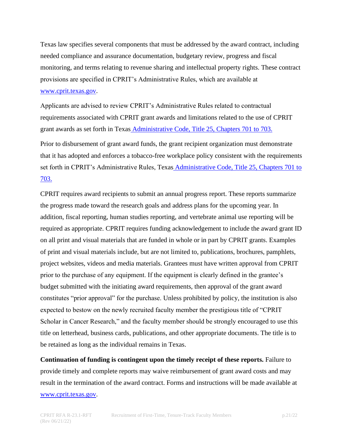Texas law specifies several components that must be addressed by the award contract, including needed compliance and assurance documentation, budgetary review, progress and fiscal monitoring, and terms relating to revenue sharing and intellectual property rights. These contract provisions are specified in CPRIT's Administrative Rules, which are available at [www.cprit.texas.gov.](http://www.cprit.texas.gov/)

Applicants are advised to review CPRIT's Administrative Rules related to contractual requirements associated with CPRIT grant awards and limitations related to the use of CPRIT grant awards as set forth in Texas [Administrative Code, Title 25, Chapters 701](https://texreg.sos.state.tx.us/public/readtac$ext.ViewTAC?tac_view=4&ti=25&pt=11&ch=703&rl=Y) to 703.

Prior to disbursement of grant award funds, the grant recipient organization must demonstrate that it has adopted and enforces a tobacco-free workplace policy consistent with the requirements set forth in CPRIT's Administrative Rules, Texas [Administrative Code, Title 25, Chapters 701](https://texreg.sos.state.tx.us/public/readtac$ext.ViewTAC?tac_view=4&ti=25&pt=11&ch=703&rl=Y) to [703.](https://texreg.sos.state.tx.us/public/readtac$ext.ViewTAC?tac_view=4&ti=25&pt=11&ch=703&rl=Y)

CPRIT requires award recipients to submit an annual progress report. These reports summarize the progress made toward the research goals and address plans for the upcoming year. In addition, fiscal reporting, human studies reporting, and vertebrate animal use reporting will be required as appropriate. CPRIT requires funding acknowledgement to include the award grant ID on all print and visual materials that are funded in whole or in part by CPRIT grants. Examples of print and visual materials include, but are not limited to, publications, brochures, pamphlets, project websites, videos and media materials. Grantees must have written approval from CPRIT prior to the purchase of any equipment. If the equipment is clearly defined in the grantee's budget submitted with the initiating award requirements, then approval of the grant award constitutes "prior approval" for the purchase. Unless prohibited by policy, the institution is also expected to bestow on the newly recruited faculty member the prestigious title of "CPRIT Scholar in Cancer Research," and the faculty member should be strongly encouraged to use this title on letterhead, business cards, publications, and other appropriate documents. The title is to be retained as long as the individual remains in Texas.

**Continuation of funding is contingent upon the timely receipt of these reports.** Failure to provide timely and complete reports may waive reimbursement of grant award costs and may result in the termination of the award contract. Forms and instructions will be made available at [www.cprit.texas.gov.](http://www.cprit.texas.gov/)